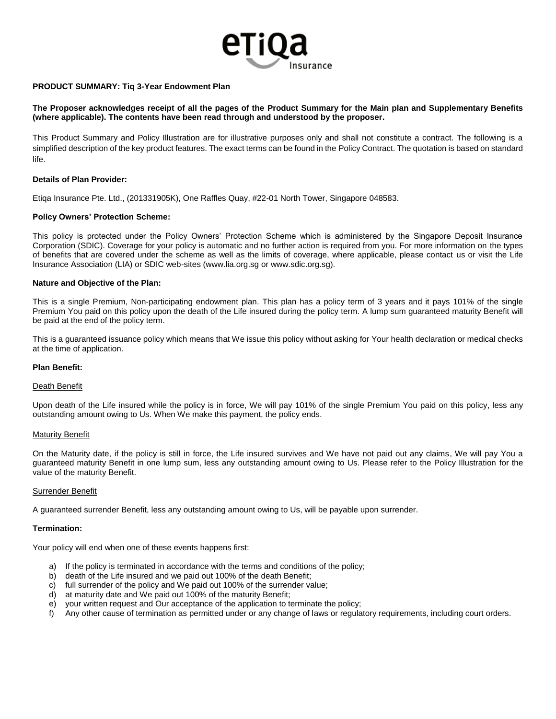

## **PRODUCT SUMMARY: Tiq 3-Year Endowment Plan**

# **The Proposer acknowledges receipt of all the pages of the Product Summary for the Main plan and Supplementary Benefits (where applicable). The contents have been read through and understood by the proposer.**

This Product Summary and Policy Illustration are for illustrative purposes only and shall not constitute a contract. The following is a simplified description of the key product features. The exact terms can be found in the Policy Contract. The quotation is based on standard life.

## **Details of Plan Provider:**

Etiqa Insurance Pte. Ltd., (201331905K), One Raffles Quay, #22-01 North Tower, Singapore 048583.

## **Policy Owners' Protection Scheme:**

This policy is protected under the Policy Owners' Protection Scheme which is administered by the Singapore Deposit Insurance Corporation (SDIC). Coverage for your policy is automatic and no further action is required from you. For more information on the types of benefits that are covered under the scheme as well as the limits of coverage, where applicable, please contact us or visit the Life Insurance Association (LIA) or SDIC web-sites [\(www.lia.org.sg](http://www.lia.org.sg/) or [www.sdic.org.sg\)](http://www.sdic.org.sg/).

#### **Nature and Objective of the Plan:**

This is a single Premium, Non-participating endowment plan. This plan has a policy term of 3 years and it pays 101% of the single Premium You paid on this policy upon the death of the Life insured during the policy term. A lump sum guaranteed maturity Benefit will be paid at the end of the policy term.

This is a guaranteed issuance policy which means that We issue this policy without asking for Your health declaration or medical checks at the time of application.

#### **Plan Benefit:**

#### Death Benefit

Upon death of the Life insured while the policy is in force, We will pay 101% of the single Premium You paid on this policy, less any outstanding amount owing to Us. When We make this payment, the policy ends.

#### **Maturity Benefit**

On the Maturity date, if the policy is still in force, the Life insured survives and We have not paid out any claims, We will pay You a guaranteed maturity Benefit in one lump sum, less any outstanding amount owing to Us. Please refer to the Policy Illustration for the value of the maturity Benefit.

#### **Surrender Benefit**

A guaranteed surrender Benefit, less any outstanding amount owing to Us, will be payable upon surrender.

#### **Termination:**

Your policy will end when one of these events happens first:

- a) If the policy is terminated in accordance with the terms and conditions of the policy;
- b) death of the Life insured and we paid out 100% of the death Benefit;
- c) full surrender of the policy and We paid out 100% of the surrender value;
- d) at maturity date and We paid out 100% of the maturity Benefit;
- e) your written request and Our acceptance of the application to terminate the policy;
- f) Any other cause of termination as permitted under or any change of laws or regulatory requirements, including court orders.